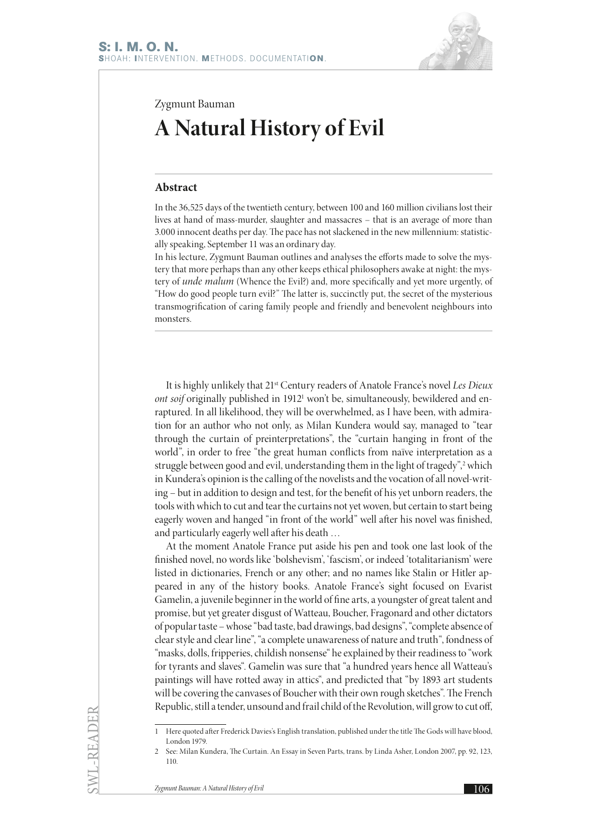

Zygmunt Bauman

## **A Natural History of Evil**

## **Abstract**

In the 36,525 days of the twentieth century, between 100 and 160 million civilians lost their lives at hand of mass-murder, slaughter and massacres – that is an average of more than 3.000 innocent deaths per day. The pace has not slackened in the new millennium: statistically speaking, September 11 was an ordinary day.

In his lecture, Zygmunt Bauman outlines and analyses the efforts made to solve the mystery that more perhaps than any other keeps ethical philosophers awake at night: the mystery of *unde malum* (Whence the Evil?) and, more specifically and yet more urgently, of "How do good people turn evil?" The latter is, succinctly put, the secret of the mysterious transmogrification of caring family people and friendly and benevolent neighbours into monsters.

It is highly unlikely that 21st Century readers of Anatole France's novel *Les Dieux*  ont soif originally published in 1912<sup>1</sup> won't be, simultaneously, bewildered and enraptured. In all likelihood, they will be overwhelmed, as I have been, with admiration for an author who not only, as Milan Kundera would say, managed to "tear through the curtain of preinterpretations", the "curtain hanging in front of the world", in order to free "the great human conflicts from naïve interpretation as a struggle between good and evil, understanding them in the light of tragedy",<sup>2</sup> which in Kundera's opinion is the calling of the novelists and the vocation of all novel-writing – but in addition to design and test, for the benefit of his yet unborn readers, the tools with which to cut and tear the curtains not yet woven, but certain to start being eagerly woven and hanged "in front of the world" well after his novel was finished, and particularly eagerly well after his death …

At the moment Anatole France put aside his pen and took one last look of the finished novel, no words like 'bolshevism', 'fascism', or indeed 'totalitarianism' were listed in dictionaries, French or any other; and no names like Stalin or Hitler appeared in any of the history books. Anatole France's sight focused on Evarist Gamelin, a juvenile beginner in the world of fine arts, a youngster of great talent and promise, but yet greater disgust of Watteau, Boucher, Fragonard and other dictators of popular taste – whose "bad taste, bad drawings, bad designs", "complete absence of clear style and clear line", "a complete unawareness of nature and truth", fondness of "masks, dolls, fripperies, childish nonsense" he explained by their readiness to "work for tyrants and slaves". Gamelin was sure that "a hundred years hence all Watteau's paintings will have rotted away in attics", and predicted that "by 1893 art students will be covering the canvases of Boucher with their own rough sketches". The French Republic, still a tender, unsound and frail child of the Revolution, will grow to cut off,

SWL-READER

<sup>1</sup> Here quoted after Frederick Davies's English translation, published under the title The Gods will have blood, London 1979.

<sup>2</sup> See: Milan Kundera, The Curtain. An Essay in Seven Parts, trans. by Linda Asher, London 2007, pp. 92, 123, 110.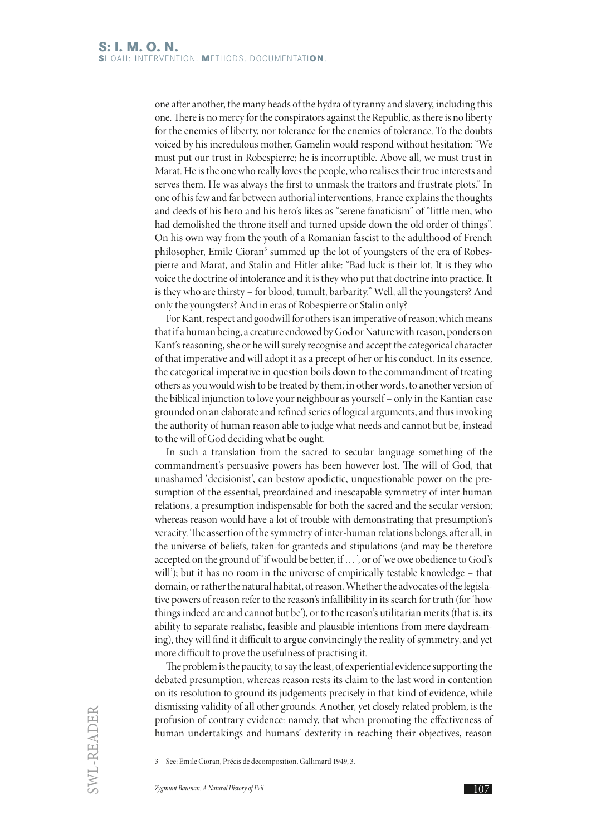one after another, the many heads of the hydra of tyranny and slavery, including this one. There is no mercy for the conspirators against the Republic, as there is no liberty for the enemies of liberty, nor tolerance for the enemies of tolerance. To the doubts voiced by his incredulous mother, Gamelin would respond without hesitation: "We must put our trust in Robespierre; he is incorruptible. Above all, we must trust in Marat. He is the one who really loves the people, who realises their true interests and serves them. He was always the first to unmask the traitors and frustrate plots." In one of his few and far between authorial interventions, France explains the thoughts and deeds of his hero and his hero's likes as "serene fanaticism" of "little men, who had demolished the throne itself and turned upside down the old order of things". On his own way from the youth of a Romanian fascist to the adulthood of French philosopher, Emile Cioran<sup>3</sup> summed up the lot of youngsters of the era of Robespierre and Marat, and Stalin and Hitler alike: "Bad luck is their lot. It is they who voice the doctrine of intolerance and it is they who put that doctrine into practice. It is they who are thirsty – for blood, tumult, barbarity." Well, all the youngsters? And only the youngsters? And in eras of Robespierre or Stalin only?

For Kant, respect and goodwill for others is an imperative of reason; which means that if a human being, a creature endowed by God or Nature with reason, ponders on Kant's reasoning, she or he will surely recognise and accept the categorical character of that imperative and will adopt it as a precept of her or his conduct. In its essence, the categorical imperative in question boils down to the commandment of treating others as you would wish to be treated by them; in other words, to another version of the biblical injunction to love your neighbour as yourself – only in the Kantian case grounded on an elaborate and refined series of logical arguments, and thus invoking the authority of human reason able to judge what needs and cannot but be, instead to the will of God deciding what be ought.

In such a translation from the sacred to secular language something of the commandment's persuasive powers has been however lost. The will of God, that unashamed 'decisionist', can bestow apodictic, unquestionable power on the presumption of the essential, preordained and inescapable symmetry of inter-human relations, a presumption indispensable for both the sacred and the secular version; whereas reason would have a lot of trouble with demonstrating that presumption's veracity. The assertion of the symmetry of inter-human relations belongs, after all, in the universe of beliefs, taken-for-granteds and stipulations (and may be therefore accepted on the ground of 'if would be better, if … ', or of 'we owe obedience to God's will'); but it has no room in the universe of empirically testable knowledge – that domain, or rather the natural habitat, of reason. Whether the advocates of the legislative powers of reason refer to the reason's infallibility in its search for truth (for 'how things indeed are and cannot but be'), or to the reason's utilitarian merits (that is, its ability to separate realistic, feasible and plausible intentions from mere daydreaming), they will find it difficult to argue convincingly the reality of symmetry, and yet more difficult to prove the usefulness of practising it.

The problem is the paucity, to say the least, of experiential evidence supporting the debated presumption, whereas reason rests its claim to the last word in contention on its resolution to ground its judgements precisely in that kind of evidence, while dismissing validity of all other grounds. Another, yet closely related problem, is the profusion of contrary evidence: namely, that when promoting the effectiveness of human undertakings and humans' dexterity in reaching their objectives, reason

<sup>3</sup> See: Emile Cioran, Précis de decomposition, Gallimard 1949, 3.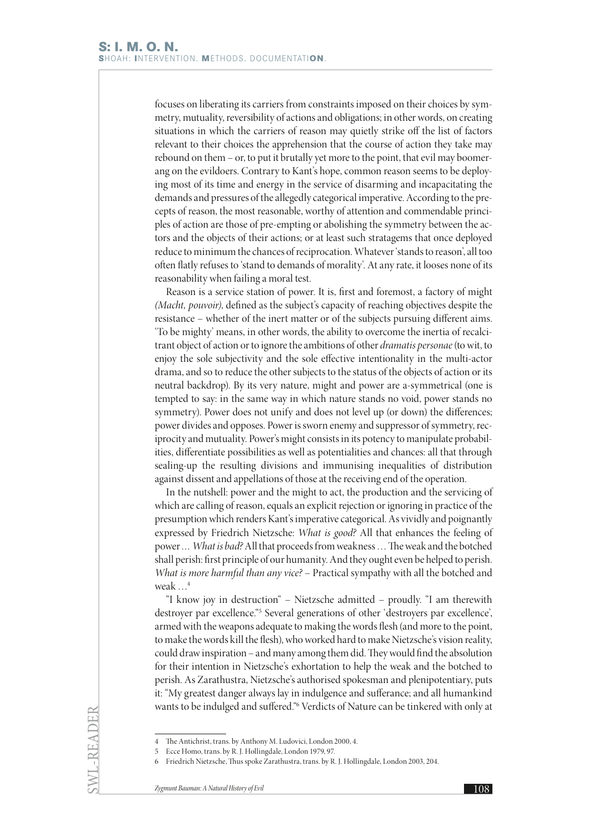focuses on liberating its carriers from constraints imposed on their choices by symmetry, mutuality, reversibility of actions and obligations; in other words, on creating situations in which the carriers of reason may quietly strike off the list of factors relevant to their choices the apprehension that the course of action they take may rebound on them – or, to put it brutally yet more to the point, that evil may boomerang on the evildoers. Contrary to Kant's hope, common reason seems to be deploying most of its time and energy in the service of disarming and incapacitating the demands and pressures of the allegedly categorical imperative. According to the precepts of reason, the most reasonable, worthy of attention and commendable principles of action are those of pre-empting or abolishing the symmetry between the actors and the objects of their actions; or at least such stratagems that once deployed reduce to minimum the chances of reciprocation. Whatever 'stands to reason', all too often flatly refuses to 'stand to demands of morality'. At any rate, it looses none of its reasonability when failing a moral test.

Reason is a service station of power. It is, first and foremost, a factory of might *(Macht, pouvoir)*, defined as the subject's capacity of reaching objectives despite the resistance – whether of the inert matter or of the subjects pursuing different aims. 'To be mighty' means, in other words, the ability to overcome the inertia of recalcitrant object of action or to ignore the ambitions of other *dramatis personae* (to wit, to enjoy the sole subjectivity and the sole effective intentionality in the multi-actor drama, and so to reduce the other subjects to the status of the objects of action or its neutral backdrop). By its very nature, might and power are a-symmetrical (one is tempted to say: in the same way in which nature stands no void, power stands no symmetry). Power does not unify and does not level up (or down) the differences; power divides and opposes. Power is sworn enemy and suppressor of symmetry, reciprocity and mutuality. Power's might consists in its potency to manipulate probabilities, differentiate possibilities as well as potentialities and chances: all that through sealing-up the resulting divisions and immunising inequalities of distribution against dissent and appellations of those at the receiving end of the operation.

In the nutshell: power and the might to act, the production and the servicing of which are calling of reason, equals an explicit rejection or ignoring in practice of the presumption which renders Kant's imperative categorical. As vividly and poignantly expressed by Friedrich Nietzsche: *What is good?* All that enhances the feeling of power *… What is bad?* All that proceeds from weakness … The weak and the botched shall perish: first principle of our humanity. And they ought even be helped to perish. *What is more harmful than any vice?* – Practical sympathy with all the botched and weak …4

"I know joy in destruction" – Nietzsche admitted – proudly. "I am therewith destroyer par excellence."<sup>5</sup> Several generations of other 'destroyers par excellence', armed with the weapons adequate to making the words flesh (and more to the point, to make the words kill the flesh), who worked hard to make Nietzsche's vision reality, could draw inspiration – and many among them did. They would find the absolution for their intention in Nietzsche's exhortation to help the weak and the botched to perish. As Zarathustra, Nietzsche's authorised spokesman and plenipotentiary, puts it: "My greatest danger always lay in indulgence and sufferance; and all humankind wants to be indulged and suffered."6 Verdicts of Nature can be tinkered with only at

SWL-READER

<sup>4</sup> The Antichrist, trans. by Anthony M. Ludovici, London 2000, 4.

<sup>5</sup> Ecce Homo, trans. by R. J. Hollingdale, London 1979, 97.

<sup>6</sup> Friedrich Nietzsche, Thus spoke Zarathustra, trans. by R. J. Hollingdale, London 2003, 204.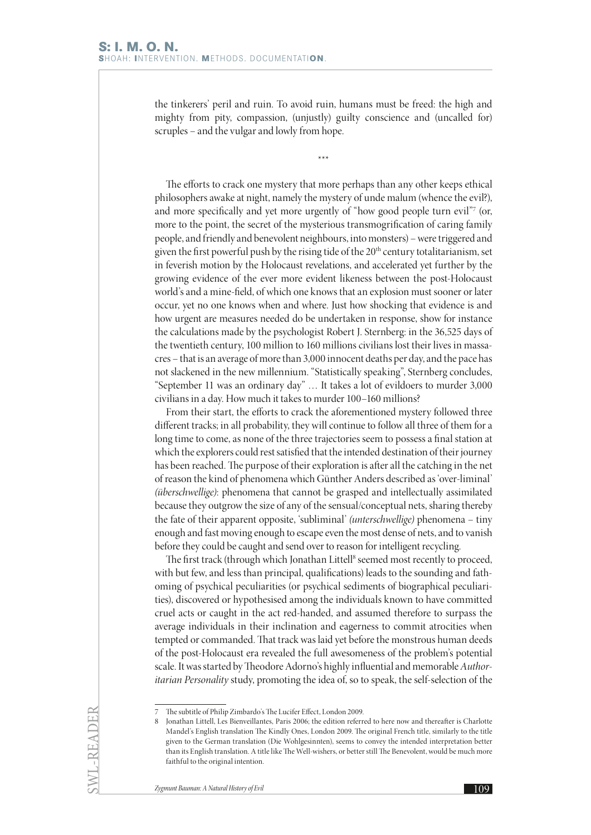the tinkerers' peril and ruin. To avoid ruin, humans must be freed: the high and mighty from pity, compassion, (unjustly) guilty conscience and (uncalled for) scruples – and the vulgar and lowly from hope.

\*\*\*

The efforts to crack one mystery that more perhaps than any other keeps ethical philosophers awake at night, namely the mystery of unde malum (whence the evil?), and more specifically and yet more urgently of "how good people turn evil"7 (or, more to the point, the secret of the mysterious transmogrification of caring family people, and friendly and benevolent neighbours, into monsters) – were triggered and given the first powerful push by the rising tide of the 20<sup>th</sup> century totalitarianism, set in feverish motion by the Holocaust revelations, and accelerated yet further by the growing evidence of the ever more evident likeness between the post-Holocaust world's and a mine-field, of which one knows that an explosion must sooner or later occur, yet no one knows when and where. Just how shocking that evidence is and how urgent are measures needed do be undertaken in response, show for instance the calculations made by the psychologist Robert J. Sternberg: in the 36,525 days of the twentieth century, 100 million to 160 millions civilians lost their lives in massacres – that is an average of more than 3,000 innocent deaths per day, and the pace has not slackened in the new millennium. "Statistically speaking", Sternberg concludes, "September 11 was an ordinary day" … It takes a lot of evildoers to murder 3,000 civilians in a day. How much it takes to murder 100–160 millions?

From their start, the efforts to crack the aforementioned mystery followed three different tracks; in all probability, they will continue to follow all three of them for a long time to come, as none of the three trajectories seem to possess a final station at which the explorers could rest satisfied that the intended destination of their journey has been reached. The purpose of their exploration is after all the catching in the net of reason the kind of phenomena which Günther Anders described as 'over-liminal' *(überschwellige)*: phenomena that cannot be grasped and intellectually assimilated because they outgrow the size of any of the sensual/conceptual nets, sharing thereby the fate of their apparent opposite, 'subliminal' *(unterschwellige)* phenomena – tiny enough and fast moving enough to escape even the most dense of nets, and to vanish before they could be caught and send over to reason for intelligent recycling.

The first track (through which Jonathan Littell<sup>8</sup> seemed most recently to proceed, with but few, and less than principal, qualifications) leads to the sounding and fathoming of psychical peculiarities (or psychical sediments of biographical peculiarities), discovered or hypothesised among the individuals known to have committed cruel acts or caught in the act red-handed, and assumed therefore to surpass the average individuals in their inclination and eagerness to commit atrocities when tempted or commanded. That track was laid yet before the monstrous human deeds of the post-Holocaust era revealed the full awesomeness of the problem's potential scale. It was started by Theodore Adorno's highly influential and memorable *Authoritarian Personality* study, promoting the idea of, so to speak, the self-selection of the

SWL-READER

<sup>7</sup> The subtitle of Philip Zimbardo's The Lucifer Effect, London 2009.

<sup>8</sup> Jonathan Littell, Les Bienveillantes, Paris 2006; the edition referred to here now and thereafter is Charlotte Mandel's English translation The Kindly Ones, London 2009. The original French title, similarly to the title given to the German translation (Die Wohlgesinnten), seems to convey the intended interpretation better than its English translation. A title like The Well-wishers, or better still The Benevolent, would be much more faithful to the original intention.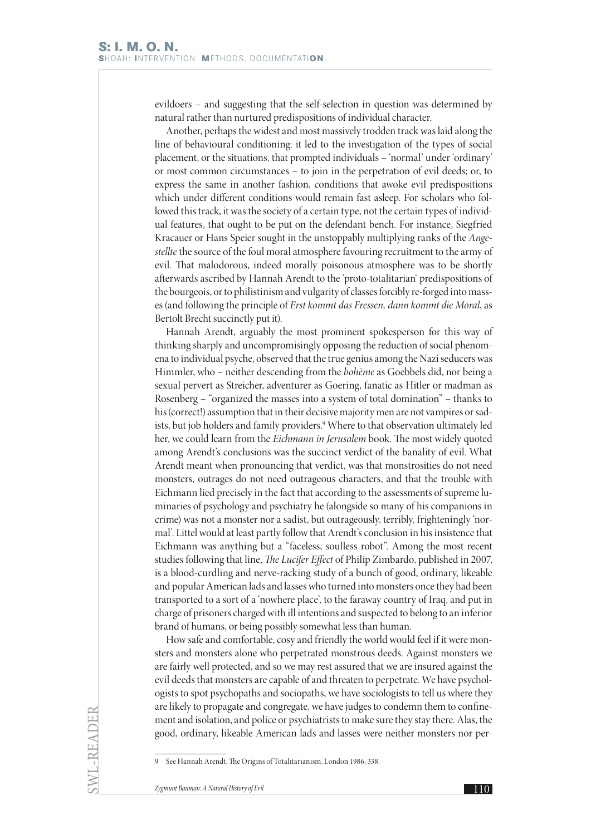evildoers – and suggesting that the self-selection in question was determined by natural rather than nurtured predispositions of individual character.

Another, perhaps the widest and most massively trodden track was laid along the line of behavioural conditioning: it led to the investigation of the types of social placement, or the situations, that prompted individuals – 'normal' under 'ordinary' or most common circumstances – to join in the perpetration of evil deeds; or, to express the same in another fashion, conditions that awoke evil predispositions which under different conditions would remain fast asleep. For scholars who followed this track, it was the society of a certain type, not the certain types of individual features, that ought to be put on the defendant bench. For instance, Siegfried Kracauer or Hans Speier sought in the unstoppably multiplying ranks of the *Angestellte* the source of the foul moral atmosphere favouring recruitment to the army of evil. That malodorous, indeed morally poisonous atmosphere was to be shortly afterwards ascribed by Hannah Arendt to the 'proto-totalitarian' predispositions of the bourgeois, or to philistinism and vulgarity of classes forcibly re-forged into masses (and following the principle of *Erst kommt das Fressen, dann kommt die Moral*, as Bertolt Brecht succinctly put it).

Hannah Arendt, arguably the most prominent spokesperson for this way of thinking sharply and uncompromisingly opposing the reduction of social phenomena to individual psyche, observed that the true genius among the Nazi seducers was Himmler, who – neither descending from the *bohème* as Goebbels did, nor being a sexual pervert as Streicher, adventurer as Goering, fanatic as Hitler or madman as Rosenberg – "organized the masses into a system of total domination" – thanks to his (correct!) assumption that in their decisive majority men are not vampires or sadists, but job holders and family providers.9 Where to that observation ultimately led her, we could learn from the *Eichmann in Jerusalem* book. The most widely quoted among Arendt's conclusions was the succinct verdict of the banality of evil. What Arendt meant when pronouncing that verdict, was that monstrosities do not need monsters, outrages do not need outrageous characters, and that the trouble with Eichmann lied precisely in the fact that according to the assessments of supreme luminaries of psychology and psychiatry he (alongside so many of his companions in crime) was not a monster nor a sadist, but outrageously, terribly, frighteningly 'normal'. Littel would at least partly follow that Arendt's conclusion in his insistence that Eichmann was anything but a "faceless, soulless robot". Among the most recent studies following that line, *The Lucifer Effect* of Philip Zimbardo, published in 2007, is a blood-curdling and nerve-racking study of a bunch of good, ordinary, likeable and popular American lads and lasses who turned into monsters once they had been transported to a sort of a 'nowhere place', to the faraway country of Iraq, and put in charge of prisoners charged with ill intentions and suspected to belong to an inferior brand of humans, or being possibly somewhat less than human.

How safe and comfortable, cosy and friendly the world would feel if it were monsters and monsters alone who perpetrated monstrous deeds. Against monsters we are fairly well protected, and so we may rest assured that we are insured against the evil deeds that monsters are capable of and threaten to perpetrate. We have psychologists to spot psychopaths and sociopaths, we have sociologists to tell us where they are likely to propagate and congregate, we have judges to condemn them to confinement and isolation, and police or psychiatrists to make sure they stay there. Alas, the good, ordinary, likeable American lads and lasses were neither monsters nor per-

<sup>9</sup> See Hannah Arendt, The Origins of Totalitarianism, London 1986, 338.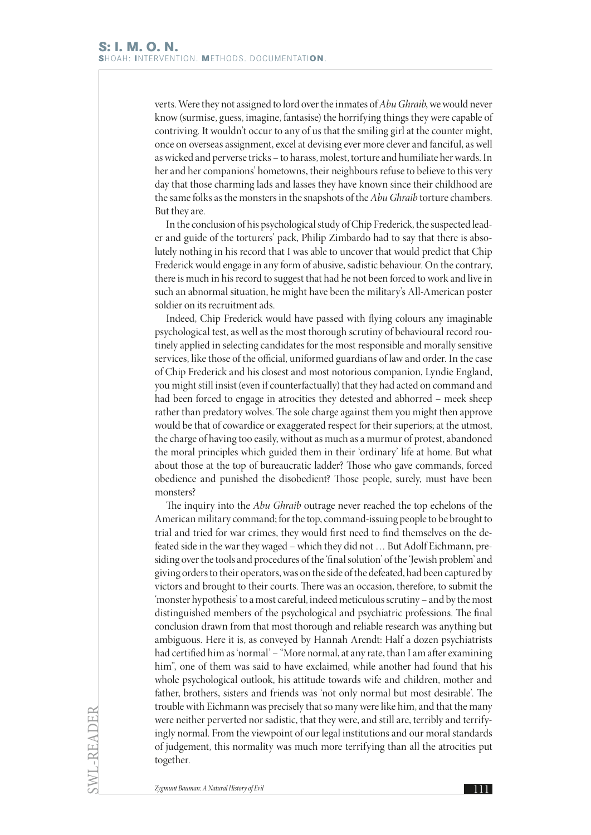verts. Were they not assigned to lord over the inmates of *Abu Ghraib*, we would never know (surmise, guess, imagine, fantasise) the horrifying things they were capable of contriving. It wouldn't occur to any of us that the smiling girl at the counter might, once on overseas assignment, excel at devising ever more clever and fanciful, as well as wicked and perverse tricks – to harass, molest, torture and humiliate her wards. In her and her companions' hometowns, their neighbours refuse to believe to this very day that those charming lads and lasses they have known since their childhood are the same folks as the monsters in the snapshots of the *Abu Ghraib* torture chambers. But they are.

In the conclusion of his psychological study of Chip Frederick, the suspected leader and guide of the torturers' pack, Philip Zimbardo had to say that there is absolutely nothing in his record that I was able to uncover that would predict that Chip Frederick would engage in any form of abusive, sadistic behaviour. On the contrary, there is much in his record to suggest that had he not been forced to work and live in such an abnormal situation, he might have been the military's All-American poster soldier on its recruitment ads.

Indeed, Chip Frederick would have passed with flying colours any imaginable psychological test, as well as the most thorough scrutiny of behavioural record routinely applied in selecting candidates for the most responsible and morally sensitive services, like those of the official, uniformed guardians of law and order. In the case of Chip Frederick and his closest and most notorious companion, Lyndie England, you might still insist (even if counterfactually) that they had acted on command and had been forced to engage in atrocities they detested and abhorred – meek sheep rather than predatory wolves. The sole charge against them you might then approve would be that of cowardice or exaggerated respect for their superiors; at the utmost, the charge of having too easily, without as much as a murmur of protest, abandoned the moral principles which guided them in their 'ordinary' life at home. But what about those at the top of bureaucratic ladder? Those who gave commands, forced obedience and punished the disobedient? Those people, surely, must have been monsters?

The inquiry into the *Abu Ghraib* outrage never reached the top echelons of the American military command; for the top, command-issuing people to be brought to trial and tried for war crimes, they would first need to find themselves on the defeated side in the war they waged – which they did not … But Adolf Eichmann, presiding over the tools and procedures of the 'final solution' of the 'Jewish problem' and giving orders to their operators, was on the side of the defeated, had been captured by victors and brought to their courts. There was an occasion, therefore, to submit the 'monster hypothesis' to a most careful, indeed meticulous scrutiny – and by the most distinguished members of the psychological and psychiatric professions. The final conclusion drawn from that most thorough and reliable research was anything but ambiguous. Here it is, as conveyed by Hannah Arendt: Half a dozen psychiatrists had certified him as 'normal' – "More normal, at any rate, than I am after examining him", one of them was said to have exclaimed, while another had found that his whole psychological outlook, his attitude towards wife and children, mother and father, brothers, sisters and friends was 'not only normal but most desirable'. The trouble with Eichmann was precisely that so many were like him, and that the many were neither perverted nor sadistic, that they were, and still are, terribly and terrifyingly normal. From the viewpoint of our legal institutions and our moral standards of judgement, this normality was much more terrifying than all the atrocities put together.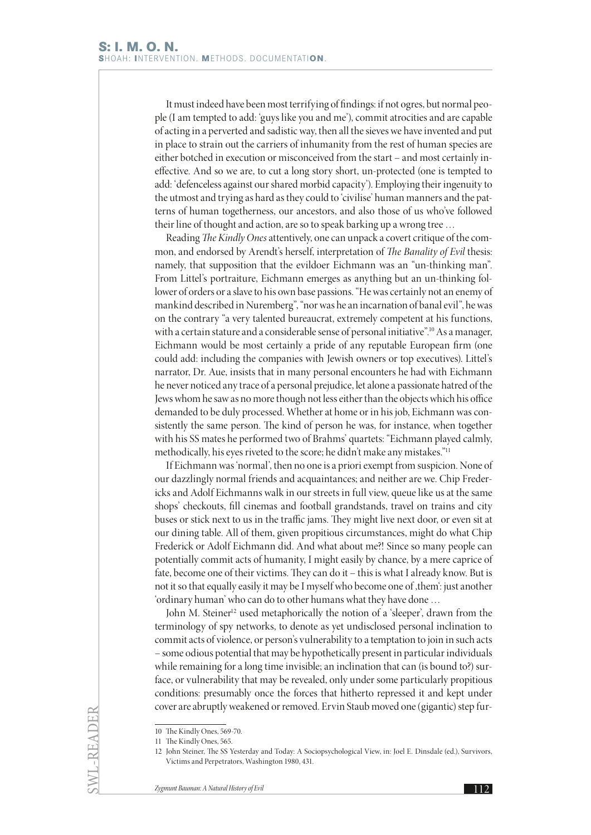It must indeed have been most terrifying of findings: if not ogres, but normal people (I am tempted to add: 'guys like you and me'), commit atrocities and are capable of acting in a perverted and sadistic way, then all the sieves we have invented and put in place to strain out the carriers of inhumanity from the rest of human species are either botched in execution or misconceived from the start – and most certainly ineffective. And so we are, to cut a long story short, un-protected (one is tempted to add: 'defenceless against our shared morbid capacity'). Employing their ingenuity to the utmost and trying as hard as they could to 'civilise' human manners and the patterns of human togetherness, our ancestors, and also those of us who've followed their line of thought and action, are so to speak barking up a wrong tree …

Reading *The Kindly Ones* attentively, one can unpack a covert critique of the common, and endorsed by Arendt's herself, interpretation of *The Banality of Evil* thesis: namely, that supposition that the evildoer Eichmann was an "un-thinking man". From Littel's portraiture, Eichmann emerges as anything but an un-thinking follower of orders or a slave to his own base passions. "He was certainly not an enemy of mankind described in Nuremberg", "nor was he an incarnation of banal evil", he was on the contrary "a very talented bureaucrat, extremely competent at his functions, with a certain stature and a considerable sense of personal initiative".<sup>10</sup> As a manager, Eichmann would be most certainly a pride of any reputable European firm (one could add: including the companies with Jewish owners or top executives). Littel's narrator, Dr. Aue, insists that in many personal encounters he had with Eichmann he never noticed any trace of a personal prejudice, let alone a passionate hatred of the Jews whom he saw as no more though not less either than the objects which his office demanded to be duly processed. Whether at home or in his job, Eichmann was consistently the same person. The kind of person he was, for instance, when together with his SS mates he performed two of Brahms' quartets: "Eichmann played calmly, methodically, his eyes riveted to the score; he didn't make any mistakes."11

If Eichmann was 'normal', then no one is a priori exempt from suspicion. None of our dazzlingly normal friends and acquaintances; and neither are we. Chip Fredericks and Adolf Eichmanns walk in our streets in full view, queue like us at the same shops' checkouts, fill cinemas and football grandstands, travel on trains and city buses or stick next to us in the traffic jams. They might live next door, or even sit at our dining table. All of them, given propitious circumstances, might do what Chip Frederick or Adolf Eichmann did. And what about me?! Since so many people can potentially commit acts of humanity, I might easily by chance, by a mere caprice of fate, become one of their victims. They can do it – this is what I already know. But is not it so that equally easily it may be I myself who become one of them': just another 'ordinary human' who can do to other humans what they have done …

John M. Steiner<sup>12</sup> used metaphorically the notion of a 'sleeper', drawn from the terminology of spy networks, to denote as yet undisclosed personal inclination to commit acts of violence, or person's vulnerability to a temptation to join in such acts – some odious potential that may be hypothetically present in particular individuals while remaining for a long time invisible; an inclination that can (is bound to?) surface, or vulnerability that may be revealed, only under some particularly propitious conditions: presumably once the forces that hitherto repressed it and kept under cover are abruptly weakened or removed. Ervin Staub moved one (gigantic) step fur-

<sup>10</sup> The Kindly Ones, 569-70.

<sup>11</sup> The Kindly Ones, 565.

<sup>12</sup> John Steiner, The SS Yesterday and Today: A Sociopsychological View, in: Joel E. Dinsdale (ed.), Survivors, Victims and Perpetrators, Washington 1980, 431.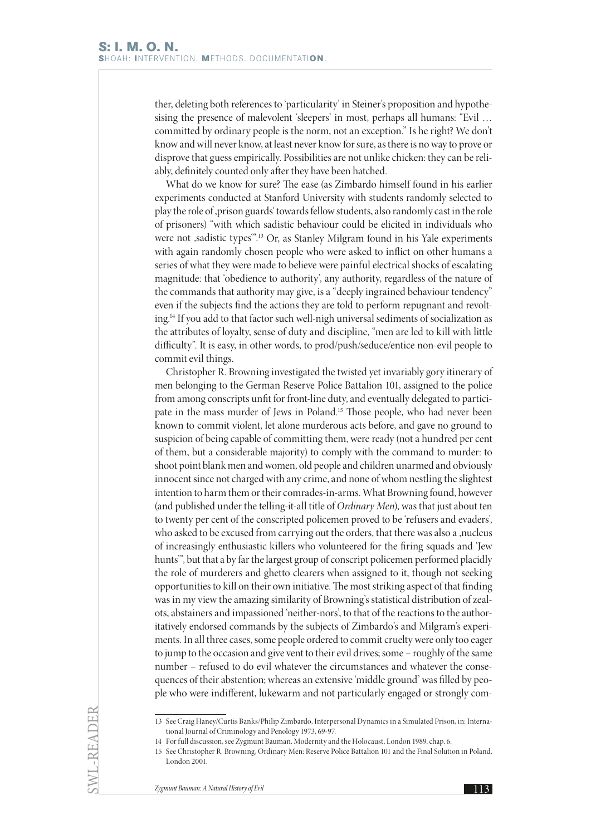ther, deleting both references to 'particularity' in Steiner's proposition and hypothesising the presence of malevolent 'sleepers' in most, perhaps all humans: "Evil … committed by ordinary people is the norm, not an exception." Is he right? We don't know and will never know, at least never know for sure, as there is no way to prove or disprove that guess empirically. Possibilities are not unlike chicken: they can be reliably, definitely counted only after they have been hatched.

What do we know for sure? The ease (as Zimbardo himself found in his earlier experiments conducted at Stanford University with students randomly selected to play the role of 'prison guards' towards fellow students, also randomly cast in the role of prisoners) "with which sadistic behaviour could be elicited in individuals who were not ,sadistic types".<sup>13</sup> Or, as Stanley Milgram found in his Yale experiments with again randomly chosen people who were asked to inflict on other humans a series of what they were made to believe were painful electrical shocks of escalating magnitude: that 'obedience to authority', any authority, regardless of the nature of the commands that authority may give, is a "deeply ingrained behaviour tendency" even if the subjects find the actions they are told to perform repugnant and revolting.14 If you add to that factor such well-nigh universal sediments of socialization as the attributes of loyalty, sense of duty and discipline, "men are led to kill with little difficulty". It is easy, in other words, to prod/push/seduce/entice non-evil people to commit evil things.

Christopher R. Browning investigated the twisted yet invariably gory itinerary of men belonging to the German Reserve Police Battalion 101, assigned to the police from among conscripts unfit for front-line duty, and eventually delegated to participate in the mass murder of Jews in Poland.<sup>15</sup> Those people, who had never been known to commit violent, let alone murderous acts before, and gave no ground to suspicion of being capable of committing them, were ready (not a hundred per cent of them, but a considerable majority) to comply with the command to murder: to shoot point blank men and women, old people and children unarmed and obviously innocent since not charged with any crime, and none of whom nestling the slightest intention to harm them or their comrades-in-arms. What Browning found, however (and published under the telling-it-all title of *Ordinary Men*), was that just about ten to twenty per cent of the conscripted policemen proved to be 'refusers and evaders', who asked to be excused from carrying out the orders, that there was also a ,nucleus of increasingly enthusiastic killers who volunteered for the firing squads and 'Jew hunts'", but that a by far the largest group of conscript policemen performed placidly the role of murderers and ghetto clearers when assigned to it, though not seeking opportunities to kill on their own initiative. The most striking aspect of that finding was in my view the amazing similarity of Browning's statistical distribution of zealots, abstainers and impassioned 'neither-nors', to that of the reactions to the authoritatively endorsed commands by the subjects of Zimbardo's and Milgram's experiments. In all three cases, some people ordered to commit cruelty were only too eager to jump to the occasion and give vent to their evil drives; some – roughly of the same number – refused to do evil whatever the circumstances and whatever the consequences of their abstention; whereas an extensive 'middle ground' was filled by people who were indifferent, lukewarm and not particularly engaged or strongly com-

SWL-READER

<sup>13</sup> See Craig Haney/Curtis Banks/Philip Zimbardo, Interpersonal Dynamics in a Simulated Prison, in: International Journal of Criminology and Penology 1973, 69-97.

<sup>14</sup> For full discussion, see Zygmunt Bauman, Modernity and the Holocaust, London 1989, chap. 6.

<sup>15</sup> See Christopher R. Browning, Ordinary Men: Reserve Police Battalion 101 and the Final Solution in Poland, London 2001.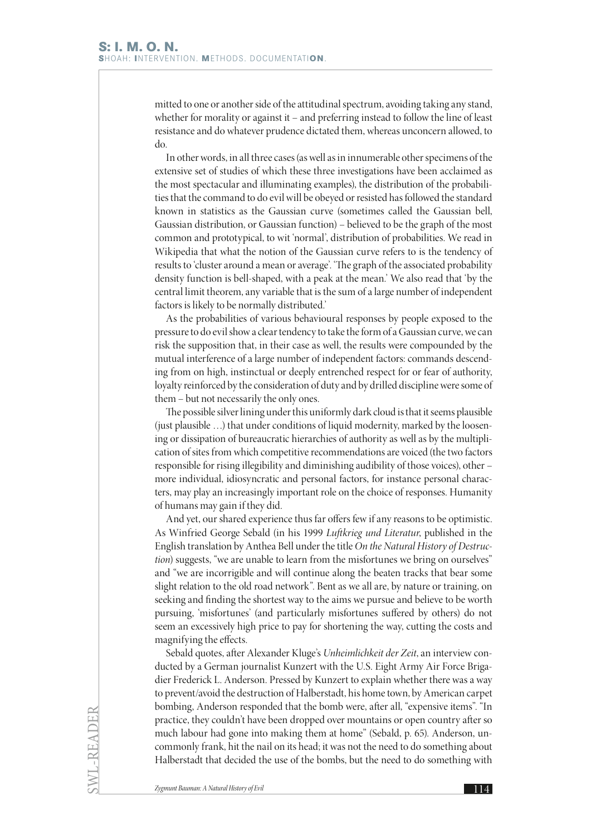mitted to one or another side of the attitudinal spectrum, avoiding taking any stand, whether for morality or against it – and preferring instead to follow the line of least resistance and do whatever prudence dictated them, whereas unconcern allowed, to do.

In other words, in all three cases (as well as in innumerable other specimens of the extensive set of studies of which these three investigations have been acclaimed as the most spectacular and illuminating examples), the distribution of the probabilities that the command to do evil will be obeyed or resisted has followed the standard known in statistics as the Gaussian curve (sometimes called the Gaussian bell, Gaussian distribution, or Gaussian function) – believed to be the graph of the most common and prototypical, to wit 'normal', distribution of probabilities. We read in Wikipedia that what the notion of the Gaussian curve refers to is the tendency of results to 'cluster around a mean or average'. 'The graph of the associated probability density function is bell-shaped, with a peak at the mean.' We also read that 'by the central limit theorem, any variable that is the sum of a large number of independent factors is likely to be normally distributed.'

As the probabilities of various behavioural responses by people exposed to the pressure to do evil show a clear tendency to take the form of a Gaussian curve, we can risk the supposition that, in their case as well, the results were compounded by the mutual interference of a large number of independent factors: commands descending from on high, instinctual or deeply entrenched respect for or fear of authority, loyalty reinforced by the consideration of duty and by drilled discipline were some of them – but not necessarily the only ones.

The possible silver lining under this uniformly dark cloud is that it seems plausible (just plausible …) that under conditions of liquid modernity, marked by the loosening or dissipation of bureaucratic hierarchies of authority as well as by the multiplication of sites from which competitive recommendations are voiced (the two factors responsible for rising illegibility and diminishing audibility of those voices), other – more individual, idiosyncratic and personal factors, for instance personal characters, may play an increasingly important role on the choice of responses. Humanity of humans may gain if they did.

And yet, our shared experience thus far offers few if any reasons to be optimistic. As Winfried George Sebald (in his 1999 *Luftkrieg und Literatur*, published in the English translation by Anthea Bell under the title *On the Natural History of Destruction*) suggests, "we are unable to learn from the misfortunes we bring on ourselves" and "we are incorrigible and will continue along the beaten tracks that bear some slight relation to the old road network". Bent as we all are, by nature or training, on seeking and finding the shortest way to the aims we pursue and believe to be worth pursuing, 'misfortunes' (and particularly misfortunes suffered by others) do not seem an excessively high price to pay for shortening the way, cutting the costs and magnifying the effects.

Sebald quotes, after Alexander Kluge's *Unheimlichkeit der Zeit*, an interview conducted by a German journalist Kunzert with the U.S. Eight Army Air Force Brigadier Frederick L. Anderson. Pressed by Kunzert to explain whether there was a way to prevent/avoid the destruction of Halberstadt, his home town, by American carpet bombing, Anderson responded that the bomb were, after all, "expensive items". "In practice, they couldn't have been dropped over mountains or open country after so much labour had gone into making them at home" (Sebald, p. 65). Anderson, uncommonly frank, hit the nail on its head; it was not the need to do something about Halberstadt that decided the use of the bombs, but the need to do something with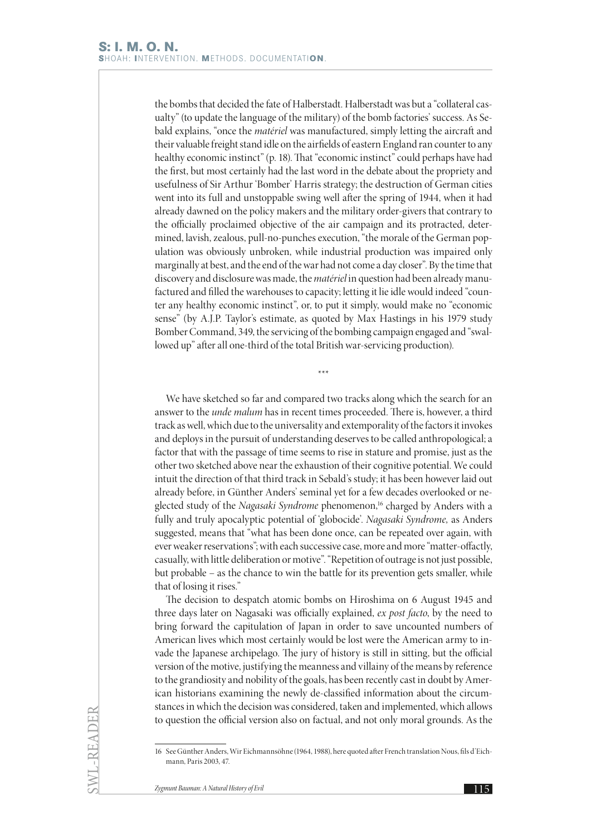the bombs that decided the fate of Halberstadt. Halberstadt was but a "collateral casualty" (to update the language of the military) of the bomb factories' success. As Sebald explains, "once the *matériel* was manufactured, simply letting the aircraft and their valuable freight stand idle on the airfields of eastern England ran counter to any healthy economic instinct" (p. 18). That "economic instinct" could perhaps have had the first, but most certainly had the last word in the debate about the propriety and usefulness of Sir Arthur 'Bomber' Harris strategy; the destruction of German cities went into its full and unstoppable swing well after the spring of 1944, when it had already dawned on the policy makers and the military order-givers that contrary to the officially proclaimed objective of the air campaign and its protracted, determined, lavish, zealous, pull-no-punches execution, "the morale of the German population was obviously unbroken, while industrial production was impaired only marginally at best, and the end of the war had not come a day closer". By the time that discovery and disclosure was made, the *matériel* in question had been already manufactured and filled the warehouses to capacity; letting it lie idle would indeed "counter any healthy economic instinct", or, to put it simply, would make no "economic sense" (by A.J.P. Taylor's estimate, as quoted by Max Hastings in his 1979 study Bomber Command, 349, the servicing of the bombing campaign engaged and "swallowed up" after all one-third of the total British war-servicing production).

We have sketched so far and compared two tracks along which the search for an answer to the *unde malum* has in recent times proceeded. There is, however, a third track as well, which due to the universality and extemporality of the factors it invokes and deploys in the pursuit of understanding deserves to be called anthropological; a factor that with the passage of time seems to rise in stature and promise, just as the other two sketched above near the exhaustion of their cognitive potential. We could intuit the direction of that third track in Sebald's study; it has been however laid out already before, in Günther Anders' seminal yet for a few decades overlooked or neglected study of the *Nagasaki Syndrome* phenomenon,<sup>16</sup> charged by Anders with a fully and truly apocalyptic potential of 'globocide'. *Nagasaki Syndrome,* as Anders suggested, means that "what has been done once, can be repeated over again, with ever weaker reservations"; with each successive case, more and more "matter-offactly, casually, with little deliberation or motive". "Repetition of outrage is not just possible, but probable – as the chance to win the battle for its prevention gets smaller, while that of losing it rises."

\*\*\*

The decision to despatch atomic bombs on Hiroshima on 6 August 1945 and three days later on Nagasaki was officially explained, *ex post facto*, by the need to bring forward the capitulation of Japan in order to save uncounted numbers of American lives which most certainly would be lost were the American army to invade the Japanese archipelago. The jury of history is still in sitting, but the official version of the motive, justifying the meanness and villainy of the means by reference to the grandiosity and nobility of the goals, has been recently cast in doubt by American historians examining the newly de-classified information about the circumstances in which the decision was considered, taken and implemented, which allows to question the official version also on factual, and not only moral grounds. As the

<sup>16</sup> See Günther Anders, Wir Eichmannsöhne (1964, 1988), here quoted after French translation Nous, fils d'Eichmann, Paris 2003, 47.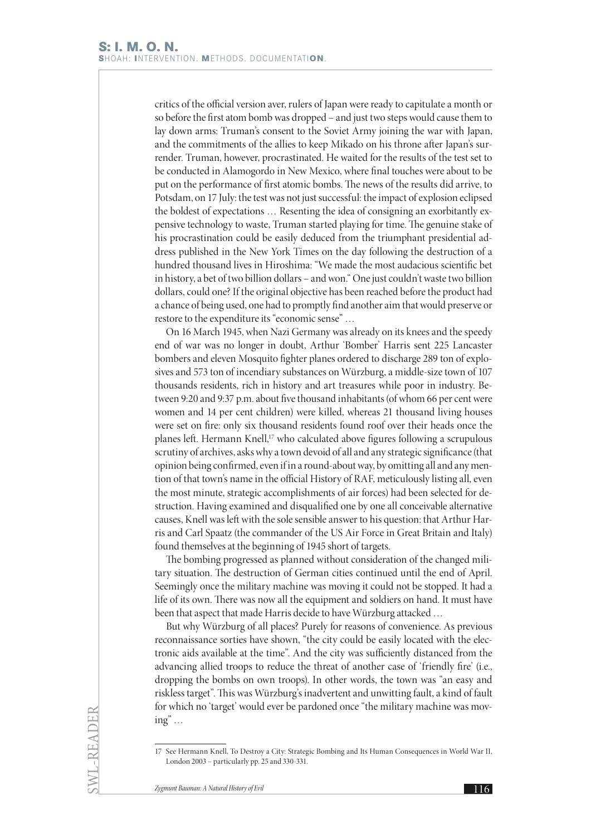critics of the official version aver, rulers of Japan were ready to capitulate a month or so before the first atom bomb was dropped – and just two steps would cause them to lay down arms: Truman's consent to the Soviet Army joining the war with Japan, and the commitments of the allies to keep Mikado on his throne after Japan's surrender. Truman, however, procrastinated. He waited for the results of the test set to be conducted in Alamogordo in New Mexico, where final touches were about to be put on the performance of first atomic bombs. The news of the results did arrive, to Potsdam, on 17 July: the test was not just successful: the impact of explosion eclipsed the boldest of expectations … Resenting the idea of consigning an exorbitantly expensive technology to waste, Truman started playing for time. The genuine stake of his procrastination could be easily deduced from the triumphant presidential address published in the New York Times on the day following the destruction of a hundred thousand lives in Hiroshima: "We made the most audacious scientific bet in history, a bet of two billion dollars – and won." One just couldn't waste two billion dollars, could one? If the original objective has been reached before the product had a chance of being used, one had to promptly find another aim that would preserve or restore to the expenditure its "economic sense" …

On 16 March 1945, when Nazi Germany was already on its knees and the speedy end of war was no longer in doubt, Arthur 'Bomber' Harris sent 225 Lancaster bombers and eleven Mosquito fighter planes ordered to discharge 289 ton of explosives and 573 ton of incendiary substances on Würzburg, a middle-size town of 107 thousands residents, rich in history and art treasures while poor in industry. Between 9:20 and 9:37 p.m. about five thousand inhabitants (of whom 66 per cent were women and 14 per cent children) were killed, whereas 21 thousand living houses were set on fire: only six thousand residents found roof over their heads once the planes left. Hermann Knell,<sup>17</sup> who calculated above figures following a scrupulous scrutiny of archives, asks why a town devoid of all and any strategic significance (that opinion being confirmed, even if in a round-about way, by omitting all and any mention of that town's name in the official History of RAF, meticulously listing all, even the most minute, strategic accomplishments of air forces) had been selected for destruction. Having examined and disqualified one by one all conceivable alternative causes, Knell was left with the sole sensible answer to his question: that Arthur Harris and Carl Spaatz (the commander of the US Air Force in Great Britain and Italy) found themselves at the beginning of 1945 short of targets.

The bombing progressed as planned without consideration of the changed military situation. The destruction of German cities continued until the end of April. Seemingly once the military machine was moving it could not be stopped. It had a life of its own. There was now all the equipment and soldiers on hand. It must have been that aspect that made Harris decide to have Würzburg attacked …

But why Würzburg of all places? Purely for reasons of convenience. As previous reconnaissance sorties have shown, "the city could be easily located with the electronic aids available at the time". And the city was sufficiently distanced from the advancing allied troops to reduce the threat of another case of 'friendly fire' (i.e., dropping the bombs on own troops). In other words, the town was "an easy and riskless target". This was Würzburg's inadvertent and unwitting fault, a kind of fault for which no 'target' would ever be pardoned once "the military machine was mov $ing$ "...

<sup>17</sup> See Hermann Knell, To Destroy a City: Strategic Bombing and Its Human Consequences in World War II, London 2003 – particularly pp. 25 and 330-331.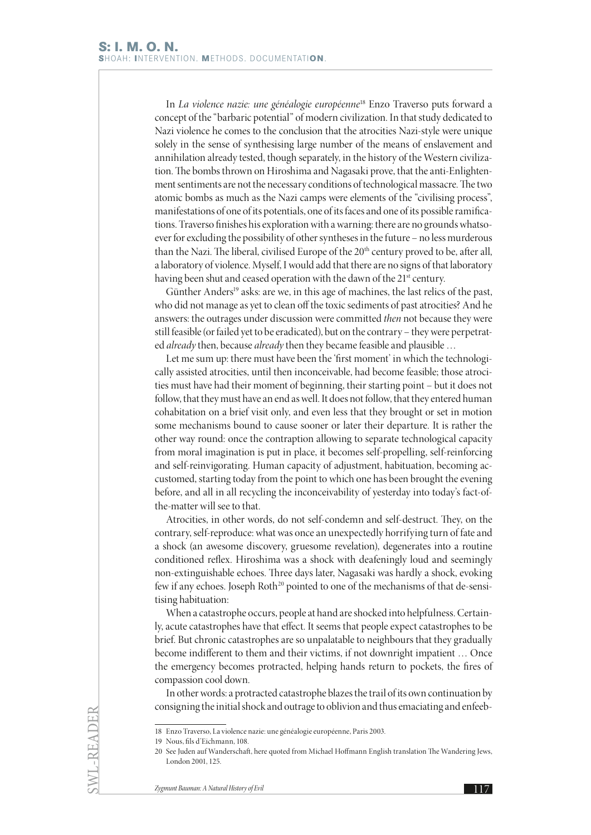In *La violence nazie: une généalogie européenne*18 Enzo Traverso puts forward a concept of the "barbaric potential" of modern civilization. In that study dedicated to Nazi violence he comes to the conclusion that the atrocities Nazi-style were unique solely in the sense of synthesising large number of the means of enslavement and annihilation already tested, though separately, in the history of the Western civilization. The bombs thrown on Hiroshima and Nagasaki prove, that the anti-Enlightenment sentiments are not the necessary conditions of technological massacre. The two atomic bombs as much as the Nazi camps were elements of the "civilising process", manifestations of one of its potentials, one of its faces and one of its possible ramifications. Traverso finishes his exploration with a warning: there are no grounds whatsoever for excluding the possibility of other syntheses in the future – no less murderous than the Nazi. The liberal, civilised Europe of the 20<sup>th</sup> century proved to be, after all, a laboratory of violence. Myself, I would add that there are no signs of that laboratory having been shut and ceased operation with the dawn of the 21<sup>st</sup> century.

Günther Anders<sup>19</sup> asks: are we, in this age of machines, the last relics of the past, who did not manage as yet to clean off the toxic sediments of past atrocities? And he answers: the outrages under discussion were committed *then* not because they were still feasible (or failed yet to be eradicated), but on the contrary – they were perpetrated *already* then, because *already* then they became feasible and plausible …

Let me sum up: there must have been the 'first moment' in which the technologically assisted atrocities, until then inconceivable, had become feasible; those atrocities must have had their moment of beginning, their starting point – but it does not follow, that they must have an end as well. It does not follow, that they entered human cohabitation on a brief visit only, and even less that they brought or set in motion some mechanisms bound to cause sooner or later their departure. It is rather the other way round: once the contraption allowing to separate technological capacity from moral imagination is put in place, it becomes self-propelling, self-reinforcing and self-reinvigorating. Human capacity of adjustment, habituation, becoming accustomed, starting today from the point to which one has been brought the evening before, and all in all recycling the inconceivability of yesterday into today's fact-ofthe-matter will see to that.

Atrocities, in other words, do not self-condemn and self-destruct. They, on the contrary, self-reproduce: what was once an unexpectedly horrifying turn of fate and a shock (an awesome discovery, gruesome revelation), degenerates into a routine conditioned reflex. Hiroshima was a shock with deafeningly loud and seemingly non-extinguishable echoes. Three days later, Nagasaki was hardly a shock, evoking few if any echoes. Joseph Roth<sup>20</sup> pointed to one of the mechanisms of that de-sensitising habituation:

When a catastrophe occurs, people at hand are shocked into helpfulness. Certainly, acute catastrophes have that effect. It seems that people expect catastrophes to be brief. But chronic catastrophes are so unpalatable to neighbours that they gradually become indifferent to them and their victims, if not downright impatient … Once the emergency becomes protracted, helping hands return to pockets, the fires of compassion cool down.

In other words: a protracted catastrophe blazes the trail of its own continuation by consigning the initial shock and outrage to oblivion and thus emaciating and enfeeb-

SWL-READER

<sup>18</sup> Enzo Traverso, La violence nazie: une généalogie européenne, Paris 2003.

<sup>19</sup> Nous, fils d'Eichmann, 108.

<sup>20</sup> See Juden auf Wanderschaft, here quoted from Michael Hoffmann English translation The Wandering Jews, London 2001, 125.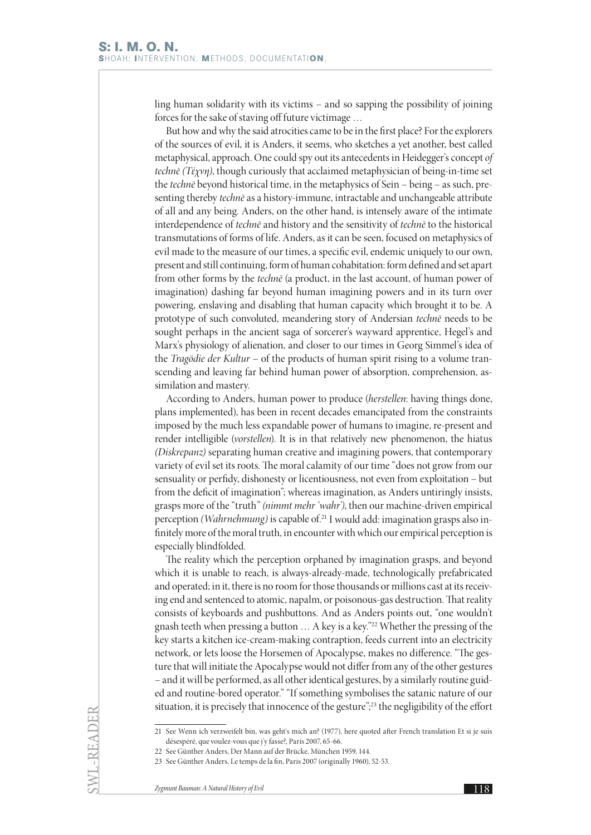ling human solidarity with its victims – and so sapping the possibility of joining forces for the sake of staving off future victimage …

But how and why the said atrocities came to be in the first place? For the explorers of the sources of evil, it is Anders, it seems, who sketches a yet another, best called metaphysical, approach. One could spy out its antecedents in Heidegger's concept *of technē (Τέχνη)*, though curiously that acclaimed metaphysician of being-in-time set the *technē* beyond historical time, in the metaphysics of Sein – being – as such, presenting thereby *technē* as a history-immune, intractable and unchangeable attribute of all and any being. Anders, on the other hand, is intensely aware of the intimate interdependence of *technē* and history and the sensitivity of *technē* to the historical transmutations of forms of life. Anders, as it can be seen, focused on metaphysics of evil made to the measure of our times, a specific evil, endemic uniquely to our own, present and still continuing, form of human cohabitation: form defined and set apart from other forms by the *technē* (a product, in the last account, of human power of imagination) dashing far beyond human imagining powers and in its turn over powering, enslaving and disabling that human capacity which brought it to be. A prototype of such convoluted, meandering story of Andersian *technē* needs to be sought perhaps in the ancient saga of sorcerer's wayward apprentice, Hegel's and Marx's physiology of alienation, and closer to our times in Georg Simmel's idea of the *Tragödie der Kultur* – of the products of human spirit rising to a volume transcending and leaving far behind human power of absorption, comprehension, assimilation and mastery.

According to Anders, human power to produce (*herstellen*: having things done, plans implemented), has been in recent decades emancipated from the constraints imposed by the much less expandable power of humans to imagine, re-present and render intelligible (*vorstellen*). It is in that relatively new phenomenon, the hiatus *(Diskrepanz)* separating human creative and imagining powers, that contemporary variety of evil set its roots. The moral calamity of our time "does not grow from our sensuality or perfidy, dishonesty or licentiousness, not even from exploitation – but from the deficit of imagination"; whereas imagination, as Anders untiringly insists, grasps more of the "truth" *(nimmt mehr 'wahr')*, then our machine-driven empirical perception *(Wahrnehmung)* is capable of.21 I would add: imagination grasps also infinitely more of the moral truth, in encounter with which our empirical perception is especially blindfolded.

The reality which the perception orphaned by imagination grasps, and beyond which it is unable to reach, is always-already-made, technologically prefabricated and operated; in it, there is no room for those thousands or millions cast at its receiving end and sentenced to atomic, napalm, or poisonous-gas destruction. That reality consists of keyboards and pushbuttons. And as Anders points out, "one wouldn't gnash teeth when pressing a button … A key is a key."22 Whether the pressing of the key starts a kitchen ice-cream-making contraption, feeds current into an electricity network, or lets loose the Horsemen of Apocalypse, makes no difference. "The gesture that will initiate the Apocalypse would not differ from any of the other gestures – and it will be performed, as all other identical gestures, by a similarly routine guided and routine-bored operator." "If something symbolises the satanic nature of our situation, it is precisely that innocence of the gesture";<sup>23</sup> the negligibility of the effort

SWL-READER

<sup>21</sup> See Wenn ich verzweifelt bin, was geht's mich an? (1977), here quoted after French translation Et si je suis désespéré, que voulez-vous que j'y fasse?, Paris 2007, 65-66.

<sup>22</sup> See Günther Anders, Der Mann auf der Brücke, München 1959, 144.

<sup>23</sup> See Günther Anders, Le temps de la fin, Paris 2007 (originally 1960), 52-53.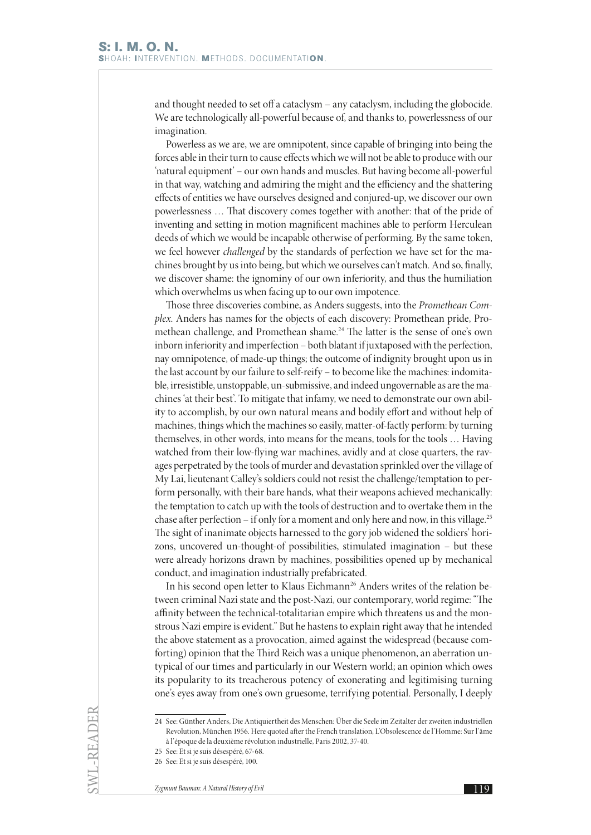and thought needed to set off a cataclysm – any cataclysm, including the globocide. We are technologically all-powerful because of, and thanks to, powerlessness of our imagination.

Powerless as we are, we are omnipotent, since capable of bringing into being the forces able in their turn to cause effects which we will not be able to produce with our 'natural equipment' – our own hands and muscles. But having become all-powerful in that way, watching and admiring the might and the efficiency and the shattering effects of entities we have ourselves designed and conjured-up, we discover our own powerlessness … That discovery comes together with another: that of the pride of inventing and setting in motion magnificent machines able to perform Herculean deeds of which we would be incapable otherwise of performing. By the same token, we feel however *challenged* by the standards of perfection we have set for the machines brought by us into being, but which we ourselves can't match. And so, finally, we discover shame: the ignominy of our own inferiority, and thus the humiliation which overwhelms us when facing up to our own impotence.

Those three discoveries combine, as Anders suggests, into the *Promethean Complex*. Anders has names for the objects of each discovery: Promethean pride, Promethean challenge, and Promethean shame.24 The latter is the sense of one's own inborn inferiority and imperfection – both blatant if juxtaposed with the perfection, nay omnipotence, of made-up things; the outcome of indignity brought upon us in the last account by our failure to self-reify – to become like the machines: indomitable, irresistible, unstoppable, un-submissive, and indeed ungovernable as are the machines 'at their best'. To mitigate that infamy, we need to demonstrate our own ability to accomplish, by our own natural means and bodily effort and without help of machines, things which the machines so easily, matter-of-factly perform: by turning themselves, in other words, into means for the means, tools for the tools … Having watched from their low-flying war machines, avidly and at close quarters, the ravages perpetrated by the tools of murder and devastation sprinkled over the village of My Lai, lieutenant Calley's soldiers could not resist the challenge/temptation to perform personally, with their bare hands, what their weapons achieved mechanically: the temptation to catch up with the tools of destruction and to overtake them in the chase after perfection – if only for a moment and only here and now, in this village.25 The sight of inanimate objects harnessed to the gory job widened the soldiers' horizons, uncovered un-thought-of possibilities, stimulated imagination – but these were already horizons drawn by machines, possibilities opened up by mechanical conduct, and imagination industrially prefabricated.

In his second open letter to Klaus Eichmann<sup>26</sup> Anders writes of the relation between criminal Nazi state and the post-Nazi, our contemporary, world regime: "The affinity between the technical-totalitarian empire which threatens us and the monstrous Nazi empire is evident." But he hastens to explain right away that he intended the above statement as a provocation, aimed against the widespread (because comforting) opinion that the Third Reich was a unique phenomenon, an aberration untypical of our times and particularly in our Western world; an opinion which owes its popularity to its treacherous potency of exonerating and legitimising turning one's eyes away from one's own gruesome, terrifying potential. Personally, I deeply

<sup>24</sup> See: Günther Anders, Die Antiquiertheit des Menschen: Über die Seele im Zeitalter der zweiten industriellen Revolution, München 1956. Here quoted after the French translation, L'Obsolescence de l'Homme: Sur l'âme à l'époque de la deuxième révolution industrielle, Paris 2002, 37-40.

<sup>25</sup> See: Et si je suis désespéré, 67-68.

<sup>26</sup> See: Et si je suis désespéré, 100.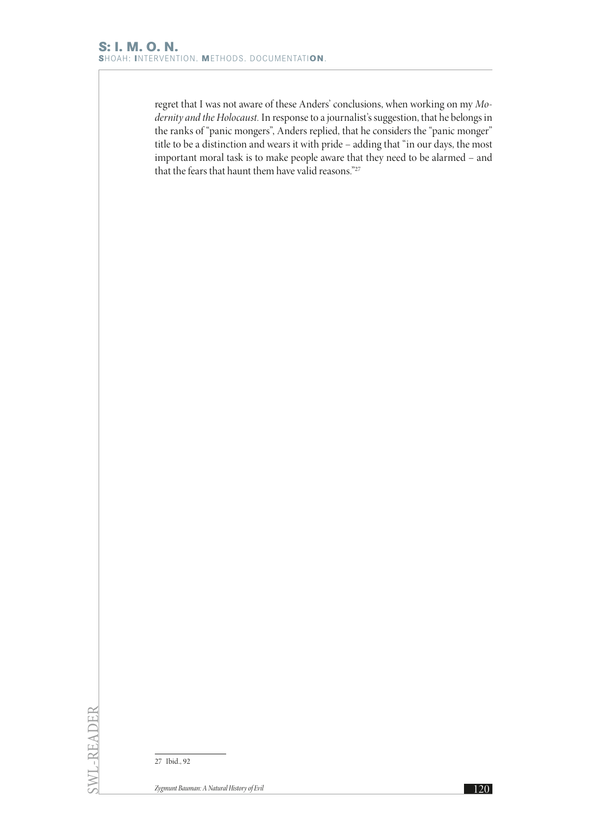regret that I was not aware of these Anders' conclusions, when working on my *Modernity and the Holocaust.* In response to a journalist's suggestion, that he belongs in the ranks of "panic mongers", Anders replied, that he considers the "panic monger" title to be a distinction and wears it with pride – adding that "in our days, the most important moral task is to make people aware that they need to be alarmed – and that the fears that haunt them have valid reasons."27

27 Ibid., 92

SWL-READER

SWL-READER

*Zygmunt Bauman: A Natural History of Evil* **120**